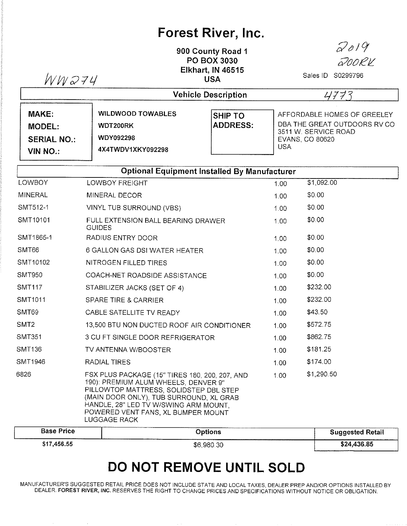## Forest River, lnc.

900 County Road <sup>1</sup> PO BOX 3030 Elkhart, lN 46515 USA

Vehicle Description 4/773

 $WW$ 274

Sales lD <sup>50299796</sup>

 $2019$ 

200RK

| <b>MAKE:</b><br>MODEL:                | <b>WILDWOOD TOWABLES</b><br>WDT200RK  | <b>SHIP TO</b><br><b>ADDRESS:</b> | AFFORDABLE HOMES OF GREELEY<br>DBA THE GREAT OUTDOORS RV CO<br>3511 W. SERVICE ROAD |
|---------------------------------------|---------------------------------------|-----------------------------------|-------------------------------------------------------------------------------------|
| <b>SERIAL NO.:</b><br><b>VIN NO.:</b> | <b>WDY092298</b><br>4X4TWDV1XKY092298 |                                   | EVANS, CO 80620<br>USA                                                              |
|                                       |                                       |                                   |                                                                                     |

| <b>LOWBOY FREIGHT</b><br>MINERAL DECOR<br>VINYL TUB SURROUND (VBS)                                                                                                                                                                                                         | 1.00<br>1.00<br>1.00               | \$1,092.00<br>\$0.00 |
|----------------------------------------------------------------------------------------------------------------------------------------------------------------------------------------------------------------------------------------------------------------------------|------------------------------------|----------------------|
|                                                                                                                                                                                                                                                                            |                                    |                      |
|                                                                                                                                                                                                                                                                            |                                    |                      |
|                                                                                                                                                                                                                                                                            |                                    | \$0.00               |
| <b>GUIDES</b>                                                                                                                                                                                                                                                              | 1.00                               | \$0.00               |
| RADIUS ENTRY DOOR                                                                                                                                                                                                                                                          | 1.00                               | \$0.00               |
| 6 GALLON GAS DSI WATER HEATER                                                                                                                                                                                                                                              | 1.00                               | \$0.00               |
| NITROGEN FILLED TIRES                                                                                                                                                                                                                                                      | 1.00                               | \$0.00               |
| COACH-NET ROADSIDE ASSISTANCE                                                                                                                                                                                                                                              | 1.00                               | \$0.00               |
| STABILIZER JACKS (SET OF 4)                                                                                                                                                                                                                                                | 1.00                               | \$232.00             |
| <b>SPARE TIRE &amp; CARRIER</b>                                                                                                                                                                                                                                            | 1.00                               | \$232.00             |
| CABLE SATELLITE TV READY                                                                                                                                                                                                                                                   | 1.00                               | \$43.50              |
| 13,500 BTU NON DUCTED ROOF AIR CONDITIONER                                                                                                                                                                                                                                 | 1.00                               | \$572.75             |
| 3 CU FT SINGLE DOOR REFRIGERATOR                                                                                                                                                                                                                                           | 1.00                               | \$862.75             |
| TV ANTENNA W/BOOSTER                                                                                                                                                                                                                                                       | 1.00                               | \$181.25             |
| RADIAL TIRES                                                                                                                                                                                                                                                               | 1.00                               | \$174.00             |
| FSX PLUS PACKAGE (15" TIRES 180, 200, 207, AND<br>190): PREMIUM ALUM WHEELS, DENVER 9"<br>PILLOWTOP MATTRESS, SOLIDSTEP DBL STEP<br>(MAIN DOOR ONLY), TUB SURROUND, XL GRAB<br>HANDLE, 28" LED TV W/SWING ARM MOUNT,<br>POWERED VENT FANS, XL BUMPER MOUNT<br>LUGGAGE RACK | 1.00                               | \$1,290.50           |
|                                                                                                                                                                                                                                                                            | FULL EXTENSION BALL BEARING DRAWER |                      |

| <b>Base Price</b> | Options<br>--------------- | <b>Suggested Retail</b> |
|-------------------|----------------------------|-------------------------|
| \$17,456.55       | \$6,980.30                 | \$24,436.85             |

## DO NOT REMOVE UNTIL SOLD

MANUFACTURER'S SUGGESTED RETAIL PRICE DOES NOT INCLUDE STATE AND LOCAL TAXES, DEALER PREP AND/OR OPTIONS INSTALLED BY DEALER. FOREST RIVER, INC. RESERVES THE RIGHT TO CHANGE PRICES AND SPECIFICATIONS WITHOUT NOTICE OR OBLIGATION.